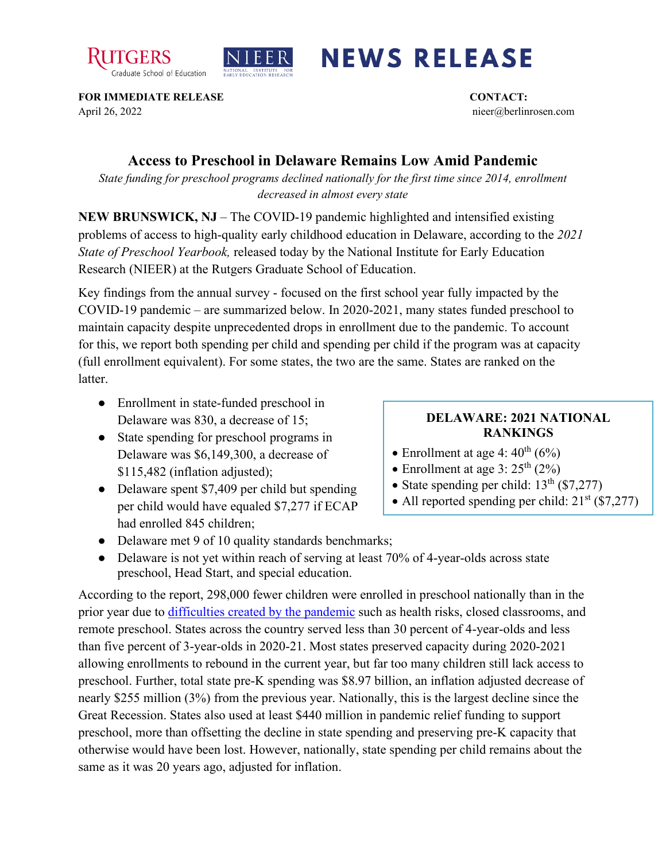



## **NEWS RELEASE**

**FOR IMMEDIATE RELEASE CONTACT:**  April 26, 2022 nieer@berlinrosen.com

## **Access to Preschool in Delaware Remains Low Amid Pandemic**

*State funding for preschool programs declined nationally for the first time since 2014, enrollment decreased in almost every state*

**NEW BRUNSWICK, NJ** – The COVID-19 pandemic highlighted and intensified existing problems of access to high-quality early childhood education in Delaware, according to the *2021 State of Preschool Yearbook,* released today by the National Institute for Early Education Research (NIEER) at the Rutgers Graduate School of Education.

Key findings from the annual survey - focused on the first school year fully impacted by the COVID-19 pandemic – are summarized below. In 2020-2021, many states funded preschool to maintain capacity despite unprecedented drops in enrollment due to the pandemic. To account for this, we report both spending per child and spending per child if the program was at capacity (full enrollment equivalent). For some states, the two are the same. States are ranked on the **latter** 

- Enrollment in state-funded preschool in Delaware was 830, a decrease of 15;
- State spending for preschool programs in Delaware was \$6,149,300, a decrease of \$115,482 (inflation adjusted);
- Delaware spent \$7,409 per child but spending per child would have equaled \$7,277 if ECAP had enrolled 845 children;

## **DELAWARE: 2021 NATIONAL RANKINGS**

- Enrollment at age 4:  $40^{\text{th}}$  (6%)
- Enrollment at age  $3:25^{\text{th}}$  (2%)
- State spending per child:  $13<sup>th</sup>$  (\$7,277)
- All reported spending per child:  $21^{st}$  (\$7,277)
- Delaware met 9 of 10 quality standards benchmarks;
- Delaware is not yet within reach of serving at least 70% of 4-year-olds across state preschool, Head Start, and special education.

According to the report, 298,000 fewer children were enrolled in preschool nationally than in the prior year due to [difficulties created by the pandemic](https://nieer.org/wp-content/uploads/2021/02/NIEER_Seven_Impacts_of_the_Pandemic_on_Young_Children_and_their_Parents.pdf) such as health risks, closed classrooms, and remote preschool. States across the country served less than 30 percent of 4-year-olds and less than five percent of 3-year-olds in 2020-21. Most states preserved capacity during 2020-2021 allowing enrollments to rebound in the current year, but far too many children still lack access to preschool. Further, total state pre-K spending was \$8.97 billion, an inflation adjusted decrease of nearly \$255 million (3%) from the previous year. Nationally, this is the largest decline since the Great Recession. States also used at least \$440 million in pandemic relief funding to support preschool, more than offsetting the decline in state spending and preserving pre-K capacity that otherwise would have been lost. However, nationally, state spending per child remains about the same as it was 20 years ago, adjusted for inflation.